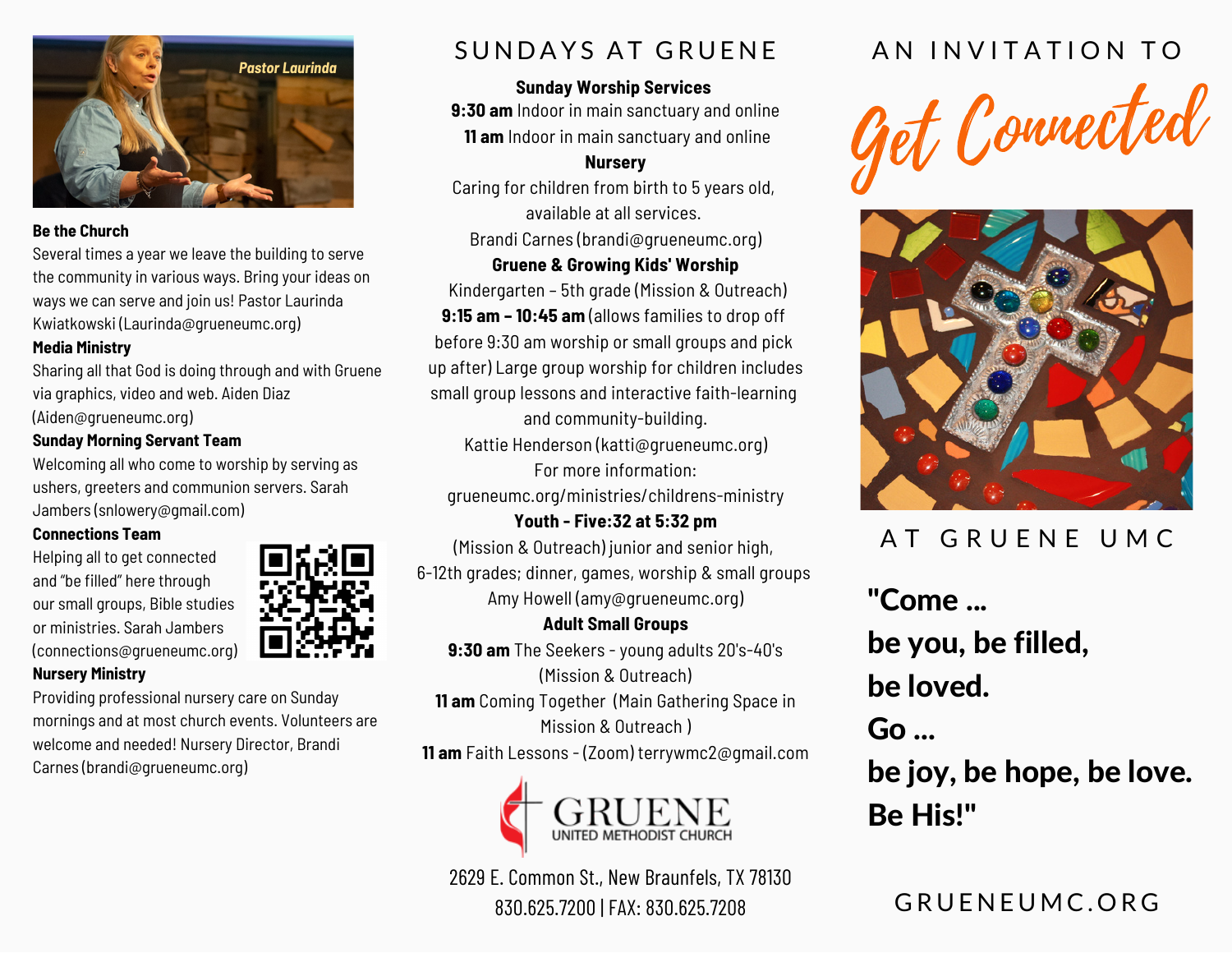

#### **Be the Church**

Several times a year we leave the building to serve the community in various ways. Bring your ideas on ways we can serve and join us! Pastor Laurinda Kwiatkowski (Laurinda@grueneumc.org)

#### **Media Ministry**

Sharing all that God is doing through and with Gruene via graphics, video and web. Aiden Diaz (Aiden@grueneumc.org)

### **Sunday Morning Servant Team**

Welcoming all who come to worship by serving as ushers, greeters and communion servers. Sarah Jambers [\(snlowery@gmail.com\)](mailto:snlowery@gmail.com)

#### **Connections Team**

**Nursery Ministry**

Helping all to get connected and "be filled" here through our small groups, Bible studies or ministries. Sarah Jambers ([connections@grueneumc.org\)](mailto:connections@grueneumc.org)



Providing professional nursery care on Sunday mornings and at most church events. Volunteers are welcome and needed! Nursery Director, Brandi Carnes ([brandi@grueneumc.org](mailto:brandi@grueneumc.org))

# SUNDAYS AT GRUENE

### **Sunday Worship Services**

**9:30 am** Indoor in main sanctuary and online **11 am** Indoor in main sanctuary and online

### **Nursery**

Caring for children from birth to 5 years old, available at all services.

Brandi Carnes ([brandi@grueneumc.org](mailto:brandi@grueneumc.org))

### **Gruene & Growing Kids' Worship**

Kindergarten – 5th grade (Mission & Outreach) **9:15 am – 10:45 am** (allows families to drop off before 9:30 am worship or small groups and pick up after) Large group worship for children includes small group lessons and interactive faith-learning and community-building.

Kattie Henderson (katt[i@grueneumc.org](mailto:cheri@grueneumc.org)) For more information:

[grueneumc.org/ministries/childrens-ministry](https://www.grueneumc.org/ministries/childrens-ministry/)

**Youth - Five:32 at 5:32 pm** (Mission & Outreach) junior and senior high, 6-12th grades; dinner, games, worship & small groups Amy Howell [\(amy@grueneumc.org](mailto:michael@grueneumc.org))

### **Adult Small Groups 9:30 am** The Seekers - young adults 20's-40's (Mission & Outreach) **11 am** Coming Together (Main Gathering Space in Mission & Outreach ) **11 am** Faith Lessons - (Zoom) terrywmc2@gmail.com



2629 E. Common St., New Braunfels, TX 78130 830.625.7200 | FAX: 830.625.7208 G R U E N E U M C . O R G

# AN INVITATION TO





# AT GRUENE UMC

"Come ... be you, be filled, be loved.  $Go...$ be joy, be hope, be love.

Be His!"